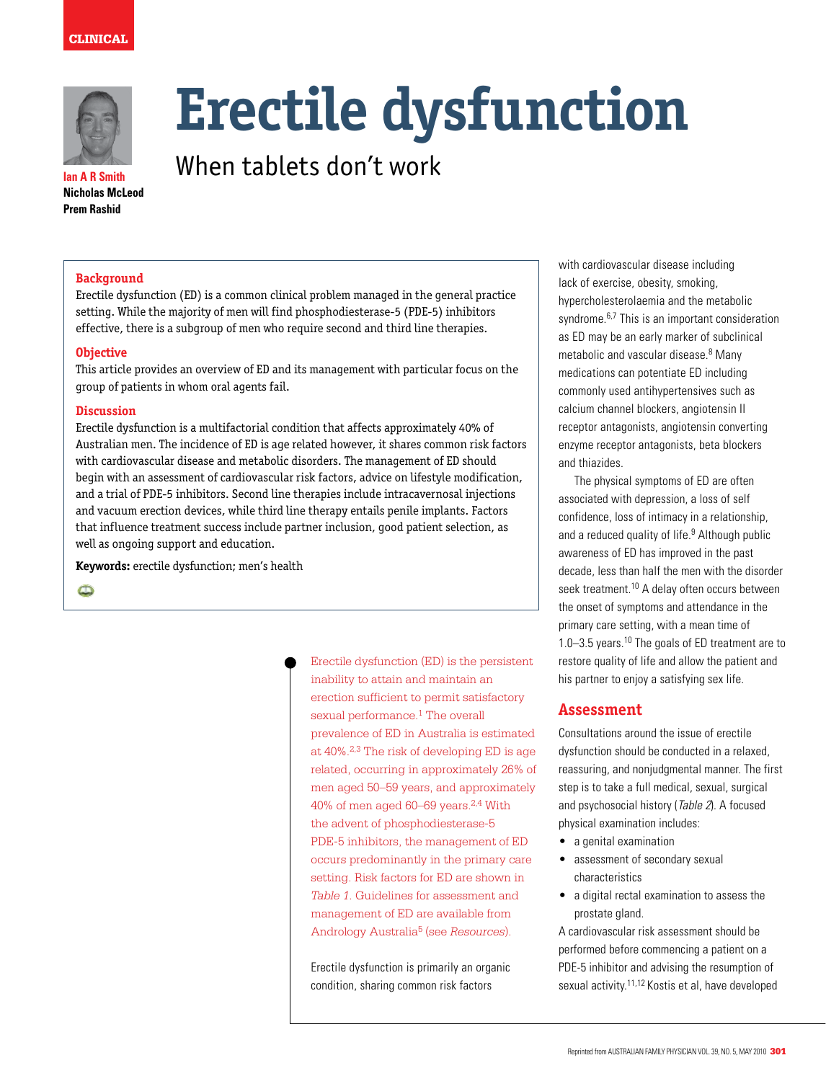



**Ian A R Smith Nicholas McLeod Prem Rashid**

# **Erectile dysfunction**

When tablets don't work

# **Background**

Erectile dysfunction (ED) is a common clinical problem managed in the general practice setting. While the majority of men will find phosphodiesterase-5 (PDE-5) inhibitors effective, there is a subgroup of men who require second and third line therapies.

#### **Objective**

This article provides an overview of ED and its management with particular focus on the group of patients in whom oral agents fail.

#### **Discussion**

Erectile dysfunction is a multifactorial condition that affects approximately 40% of Australian men. The incidence of ED is age related however, it shares common risk factors with cardiovascular disease and metabolic disorders. The management of ED should begin with an assessment of cardiovascular risk factors, advice on lifestyle modification, and a trial of PDE-5 inhibitors. Second line therapies include intracavernosal injections and vacuum erection devices, while third line therapy entails penile implants. Factors that influence treatment success include partner inclusion, good patient selection, as well as ongoing support and education.

**Keywords:** erectile dysfunction; men's health

 $\bullet$ 

Erectile dysfunction (ED) is the persistent inability to attain and maintain an erection sufficient to permit satisfactory sexual performance.<sup>1</sup> The overall prevalence of ED in Australia is estimated at 40%.2,3 The risk of developing ED is age related, occurring in approximately 26% of men aged 50–59 years, and approximately 40% of men aged 60–69 years.2,4 With the advent of phosphodiesterase-5 PDE-5 inhibitors, the management of ED occurs predominantly in the primary care setting. Risk factors for ED are shown in *Table 1*. Guidelines for assessment and management of ED are available from Andrology Australia5 (see *Resources*).

Erectile dysfunction is primarily an organic condition, sharing common risk factors

with cardiovascular disease including lack of exercise, obesity, smoking, hypercholesterolaemia and the metabolic syndrome.<sup>6,7</sup> This is an important consideration as ED may be an early marker of subclinical metabolic and vascular disease.<sup>8</sup> Many medications can potentiate ED including commonly used antihypertensives such as calcium channel blockers, angiotensin II receptor antagonists, angiotensin converting enzyme receptor antagonists, beta blockers and thiazides.

 The physical symptoms of ED are often associated with depression, a loss of self confidence, loss of intimacy in a relationship, and a reduced quality of life.<sup>9</sup> Although public awareness of ED has improved in the past decade, less than half the men with the disorder seek treatment.10 A delay often occurs between the onset of symptoms and attendance in the primary care setting, with a mean time of 1.0–3.5 years.10 The goals of ED treatment are to restore quality of life and allow the patient and his partner to enjoy a satisfying sex life.

# **Assessment**

Consultations around the issue of erectile dysfunction should be conducted in a relaxed, reassuring, and nonjudgmental manner. The first step is to take a full medical, sexual, surgical and psychosocial history (Table 2). A focused physical examination includes:

- a genital examination
- assessment of secondary sexual characteristics
- a digital rectal examination to assess the prostate gland.

A cardiovascular risk assessment should be performed before commencing a patient on a PDE-5 inhibitor and advising the resumption of sexual activity.<sup>11,12</sup> Kostis et al, have developed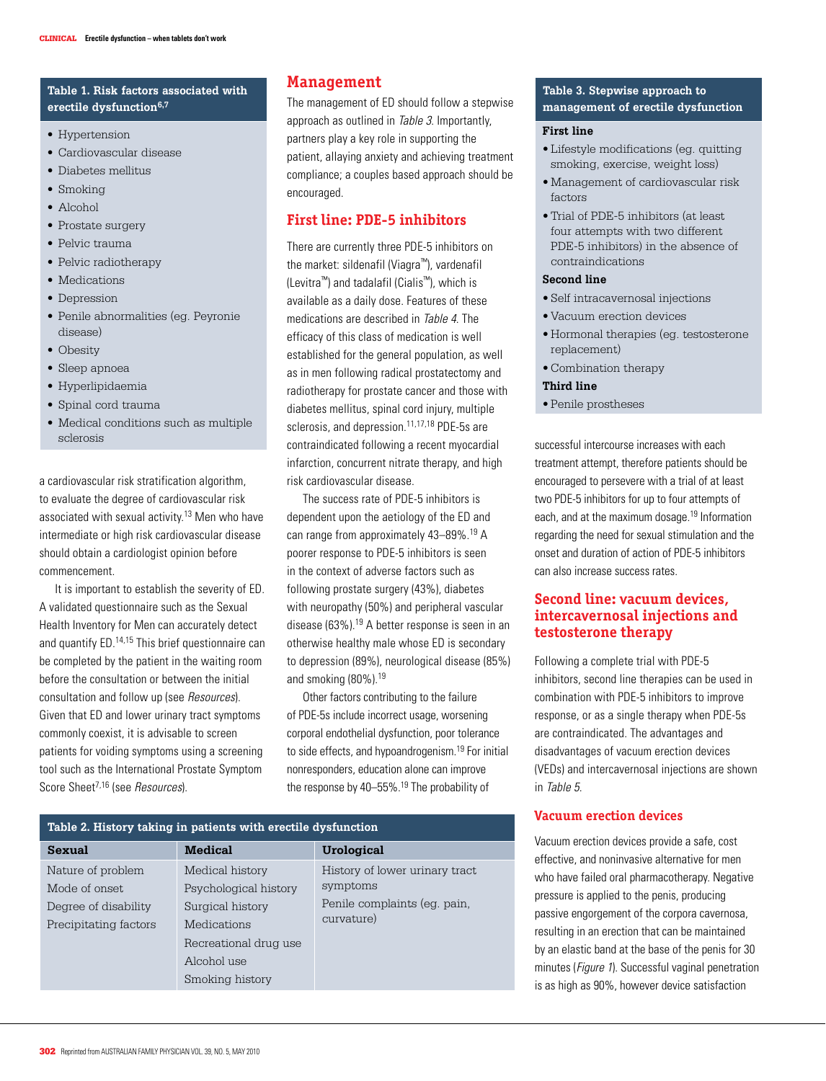## **Table 1. Risk factors associated with**  erectile dysfunction<sup>6,7</sup>

- Hypertension
- • Cardiovascular disease
- • Diabetes mellitus
- • Smoking
- • Alcohol
- Prostate surgery
- • Pelvic trauma
- Pelvic radiotherapy
- Medications
- Depression
- • Penile abnormalities (eg. Peyronie disease)
- Obesity
- Sleep apnoea
- • Hyperlipidaemia
- • Spinal cord trauma
- • Medical conditions such as multiple sclerosis

a cardiovascular risk stratification algorithm, to evaluate the degree of cardiovascular risk associated with sexual activity.<sup>13</sup> Men who have intermediate or high risk cardiovascular disease should obtain a cardiologist opinion before commencement.

 It is important to establish the severity of ED. A validated questionnaire such as the Sexual Health Inventory for Men can accurately detect and quantify ED.14,15 This brief questionnaire can be completed by the patient in the waiting room before the consultation or between the initial consultation and follow up (see Resources). Given that ED and lower urinary tract symptoms commonly coexist, it is advisable to screen patients for voiding symptoms using a screening tool such as the International Prostate Symptom Score Sheet<sup>7,16</sup> (see Resources).

# **Management**

The management of ED should follow a stepwise approach as outlined in Table 3. Importantly, partners play a key role in supporting the patient, allaying anxiety and achieving treatment compliance; a couples based approach should be encouraged.

# **First line: PDE-5 inhibitors**

There are currently three PDE-5 inhibitors on the market: sildenafil (Viagra™), vardenafil (Levitra™) and tadalafil (Cialis™), which is available as a daily dose. Features of these medications are described in Table 4. The efficacy of this class of medication is well established for the general population, as well as in men following radical prostatectomy and radiotherapy for prostate cancer and those with diabetes mellitus, spinal cord injury, multiple sclerosis, and depression.<sup>11,17,18</sup> PDE-5s are contraindicated following a recent myocardial infarction, concurrent nitrate therapy, and high risk cardiovascular disease.

 The success rate of PDE-5 inhibitors is dependent upon the aetiology of the ED and can range from approximately 43–89%.19 A poorer response to PDE-5 inhibitors is seen in the context of adverse factors such as following prostate surgery (43%), diabetes with neuropathy (50%) and peripheral vascular disease (63%).19 A better response is seen in an otherwise healthy male whose ED is secondary to depression (89%), neurological disease (85%) and smoking (80%).19

 Other factors contributing to the failure of PDE-5s include incorrect usage, worsening corporal endothelial dysfunction, poor tolerance to side effects, and hypoandrogenism.<sup>19</sup> For initial nonresponders, education alone can improve the response by 40–55%.19 The probability of

| Table 2. History taking in patients with erectile dysfunction |                       |                                            |  |  |  |
|---------------------------------------------------------------|-----------------------|--------------------------------------------|--|--|--|
| <b>Sexual</b>                                                 | <b>Medical</b>        | <b>Urological</b>                          |  |  |  |
| Nature of problem                                             | Medical history       | History of lower urinary tract             |  |  |  |
| Mode of onset.                                                | Psychological history | symptoms                                   |  |  |  |
| Degree of disability                                          | Surgical history      | Penile complaints (eg. pain,<br>curvature) |  |  |  |
| Precipitating factors                                         | Medications           |                                            |  |  |  |
|                                                               | Recreational drug use |                                            |  |  |  |
|                                                               | Alcohol use           |                                            |  |  |  |
|                                                               | Smoking history       |                                            |  |  |  |

#### **Table 3. Stepwise approach to management of erectile dysfunction**

#### **First line**

- • Lifestyle modifications (eg. quitting smoking, exercise, weight loss)
- Management of cardiovascular risk factors
- • Trial of PDE-5 inhibitors (at least four attempts with two different PDE-5 inhibitors) in the absence of contraindications

#### **Second line**

- • Self intracavernosal injections
- • Vacuum erection devices
- • Hormonal therapies (eg. testosterone replacement)
- • Combination therapy
- **Third line**
- • Penile prostheses

successful intercourse increases with each treatment attempt, therefore patients should be encouraged to persevere with a trial of at least two PDE-5 inhibitors for up to four attempts of each, and at the maximum dosage.19 Information regarding the need for sexual stimulation and the onset and duration of action of PDE-5 inhibitors can also increase success rates.

# **Second line: vacuum devices, intercavernosal injections and testosterone therapy**

Following a complete trial with PDE-5 inhibitors, second line therapies can be used in combination with PDE-5 inhibitors to improve response, or as a single therapy when PDE-5s are contraindicated. The advantages and disadvantages of vacuum erection devices (VEDs) and intercavernosal injections are shown in Table 5.

# **Vacuum erection devices**

Vacuum erection devices provide a safe, cost effective, and noninvasive alternative for men who have failed oral pharmacotherapy. Negative pressure is applied to the penis, producing passive engorgement of the corpora cavernosa, resulting in an erection that can be maintained by an elastic band at the base of the penis for 30 minutes (Figure 1). Successful vaginal penetration is as high as 90%, however device satisfaction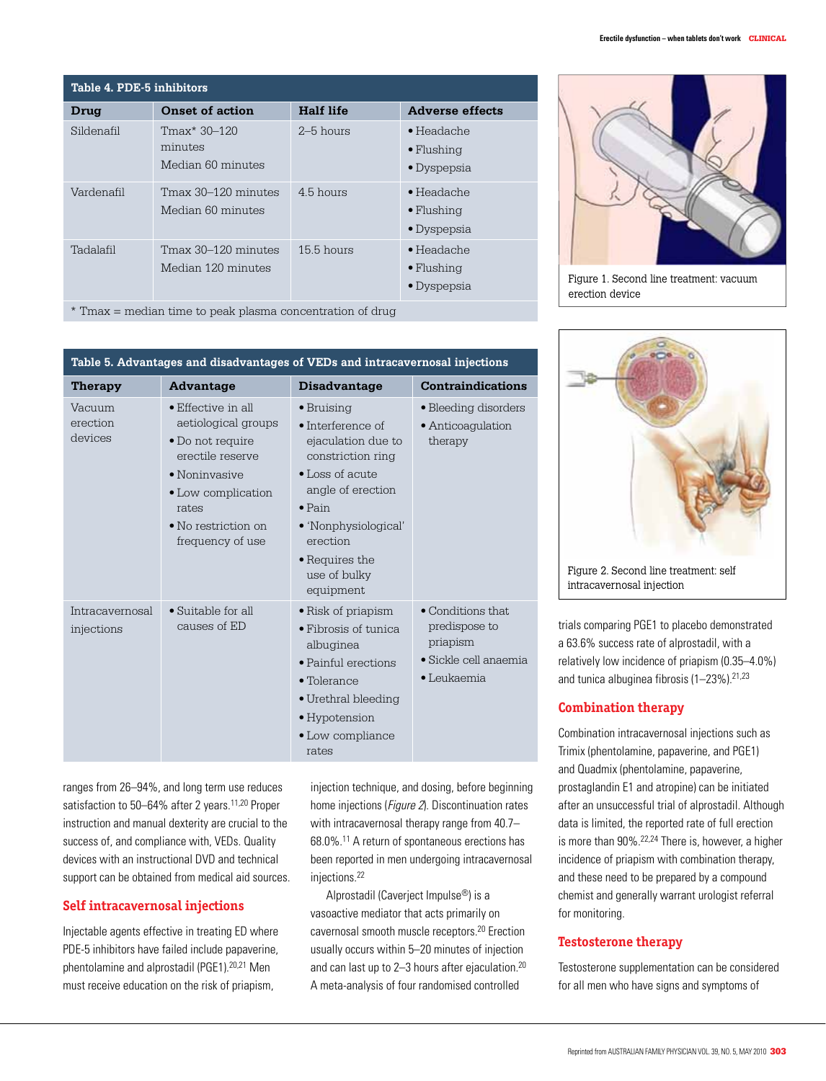| Table 4. PDE-5 inhibitors |                                              |                  |                                                                 |  |  |
|---------------------------|----------------------------------------------|------------------|-----------------------------------------------------------------|--|--|
| Drug                      | <b>Onset of action</b>                       | <b>Half life</b> | <b>Adverse effects</b>                                          |  |  |
| Sildenafil                | Tmax* 30–120<br>minutes<br>Median 60 minutes | $2-5$ hours      | $\bullet$ Headache<br>$\bullet$ Flushing<br>$\bullet$ Dyspepsia |  |  |
| Vardenafil                | Tmax 30–120 minutes<br>Median 60 minutes     | $45$ hours       | $\bullet$ Headache<br>$\bullet$ Flushing<br>$\bullet$ Dyspepsia |  |  |
| Tadalafil                 | Tmax 30–120 minutes<br>Median 120 minutes    | $15.5$ hours     | $\bullet$ Headache<br>$\bullet$ Flushing<br>$\bullet$ Dyspepsia |  |  |

\* Tmax = median time to peak plasma concentration of drug

#### **Table 5. Advantages and disadvantages of VEDs and intracavernosal injections**

| Therapy                       | Advantage                                                                                                                                                                                    | Disadvantage                                                                                                                                                                                                                            | <b>Contraindications</b>                                                                                       |
|-------------------------------|----------------------------------------------------------------------------------------------------------------------------------------------------------------------------------------------|-----------------------------------------------------------------------------------------------------------------------------------------------------------------------------------------------------------------------------------------|----------------------------------------------------------------------------------------------------------------|
| Vacuum<br>erection<br>devices | • Effective in all<br>aetiological groups<br>• Do not require<br>erectile reserve<br>$\bullet$ Noninvasive<br>• Low complication<br>rates<br>$\bullet$ No restriction on<br>frequency of use | $\bullet$ Bruising<br>$\bullet$ Interference of<br>ejaculation due to<br>constriction ring<br>• Loss of acute<br>angle of erection<br>$\bullet$ Pain<br>• 'Nonphysiological'<br>erection<br>• Requires the<br>use of bulky<br>equipment | • Bleeding disorders<br>• Anticoagulation<br>therapy                                                           |
| Intracavernosal<br>injections | • Suitable for all<br>causes of ED                                                                                                                                                           | • Risk of priapism<br>$\bullet$ Fibrosis of tunica<br>albuginea<br>• Painful erections<br>$\bullet$ Tolerance<br>• Urethral bleeding<br>• Hypotension<br>• Low compliance<br>rates                                                      | $\bullet$ Conditions that<br>predispose to<br>priapism<br>$\bullet$ Sickle cell anaemia<br>$\bullet$ Leukaemia |

ranges from 26–94%, and long term use reduces satisfaction to 50–64% after 2 years.<sup>11,20</sup> Proper instruction and manual dexterity are crucial to the success of, and compliance with, VEDs. Quality devices with an instructional DVD and technical support can be obtained from medical aid sources.

## **Self intracavernosal injections**

Injectable agents effective in treating ED where PDE-5 inhibitors have failed include papaverine, phentolamine and alprostadil (PGE1).20,21 Men must receive education on the risk of priapism,

injection technique, and dosing, before beginning home injections (*Figure 2*). Discontinuation rates with intracavernosal therapy range from 40.7– 68.0%.11 A return of spontaneous erections has been reported in men undergoing intracavernosal injections.22

Alprostadil (Caverject Impulse®) is a vasoactive mediator that acts primarily on cavernosal smooth muscle receptors.20 Erection usually occurs within 5–20 minutes of injection and can last up to 2–3 hours after ejaculation.<sup>20</sup> A meta-analysis of four randomised controlled



Figure 1. Second line treatment: vacuum erection device



trials comparing PGE1 to placebo demonstrated a 63.6% success rate of alprostadil, with a relatively low incidence of priapism (0.35–4.0%) and tunica albuginea fibrosis  $(1-23\%)$ . <sup>21,23</sup>

## **Combination therapy**

Combination intracavernosal injections such as Trimix (phentolamine, papaverine, and PGE1) and Quadmix (phentolamine, papaverine, prostaglandin E1 and atropine) can be initiated after an unsuccessful trial of alprostadil. Although data is limited, the reported rate of full erection is more than 90%.<sup>22,24</sup> There is, however, a higher incidence of priapism with combination therapy, and these need to be prepared by a compound chemist and generally warrant urologist referral for monitoring.

## **Testosterone therapy**

Testosterone supplementation can be considered for all men who have signs and symptoms of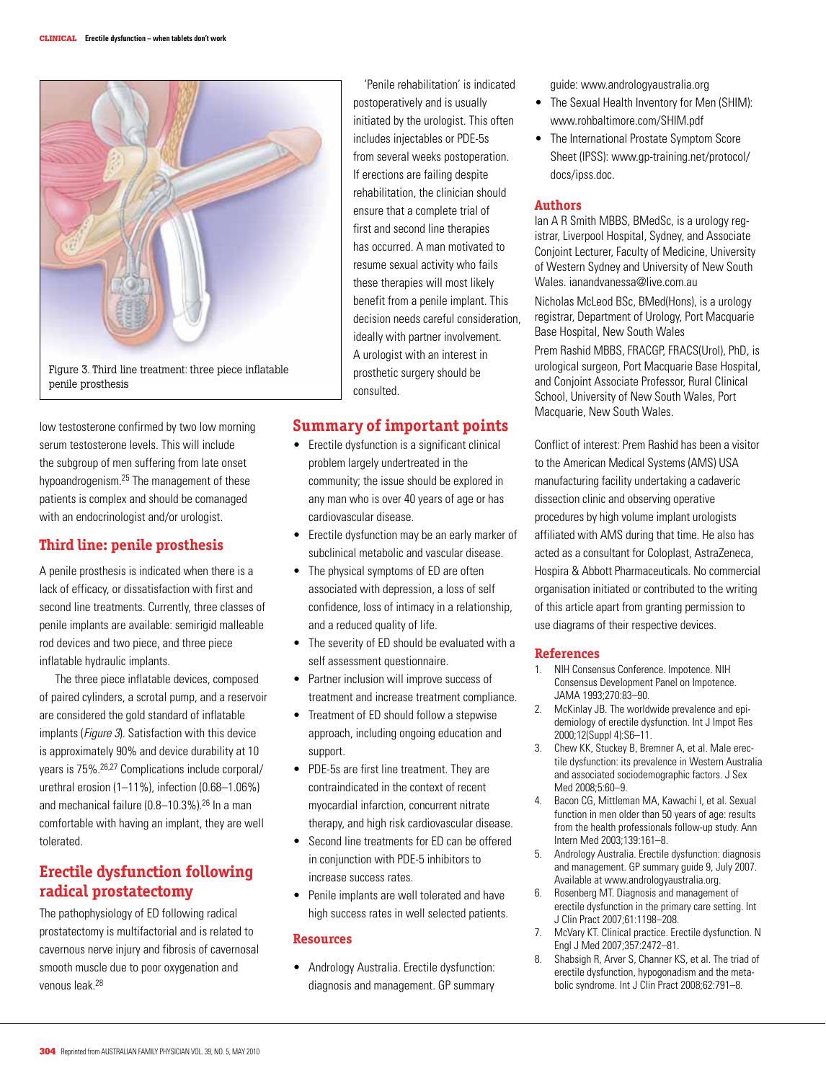

low testosterone confirmed by two low morning serum testosterone levels. This will include the subgroup of men suffering from late onset hypoandrogenism.25 The management of these patients is complex and should be comanaged with an endocrinologist and/or urologist.

# **Third line: penile prosthesis**

A penile prosthesis is indicated when there is a lack of efficacy, or dissatisfaction with first and second line treatments. Currently, three classes of penile implants are available: semirigid malleable rod devices and two piece, and three piece inflatable hydraulic implants.

 The three piece inflatable devices, composed of paired cylinders, a scrotal pump, and a reservoir are considered the gold standard of inflatable implants (*Figure 3*). Satisfaction with this device is approximately 90% and device durability at 10 years is 75%.26,27 Complications include corporal/ urethral erosion (1–11%), infection (0.68–1.06%) and mechanical failure (0.8–10.3%).26 In a man comfortable with having an implant, they are well tolerated.

# **Erectile dysfunction following radical prostatectomy**

The pathophysiology of ED following radical prostatectomy is multifactorial and is related to cavernous nerve injury and fibrosis of cavernosal smooth muscle due to poor oxygenation and venous leak.<sup>28</sup>

 'Penile rehabilitation' is indicated postoperatively and is usually initiated by the urologist. This often includes injectables or PDE-5s from several weeks postoperation. If erections are failing despite rehabilitation, the clinician should ensure that a complete trial of first and second line therapies has occurred. A man motivated to resume sexual activity who fails these therapies will most likely benefit from a penile implant. This decision needs careful consideration, ideally with partner involvement. A urologist with an interest in prosthetic surgery should be consulted.

# **Summary of important points**

- Erectile dysfunction is a significant clinical problem largely undertreated in the community; the issue should be explored in any man who is over 40 years of age or has cardiovascular disease.
- Erectile dysfunction may be an early marker of subclinical metabolic and vascular disease.
- The physical symptoms of ED are often associated with depression, a loss of self confidence, loss of intimacy in a relationship, and a reduced quality of life.
- The severity of ED should be evaluated with a self assessment questionnaire.
- Partner inclusion will improve success of treatment and increase treatment compliance.
- Treatment of ED should follow a stepwise approach, including ongoing education and support.
- PDE-5s are first line treatment. They are contraindicated in the context of recent myocardial infarction, concurrent nitrate therapy, and high risk cardiovascular disease.
- Second line treatments for ED can be offered in conjunction with PDE-5 inhibitors to increase success rates.
- Penile implants are well tolerated and have high success rates in well selected patients.

#### **Resources**

• Andrology Australia. Erectile dysfunction: diagnosis and management. GP summary guide: www.andrologyaustralia.org

- The Sexual Health Inventory for Men (SHIM): www.rohbaltimore.com/SHIM.pdf
- The International Prostate Symptom Score Sheet (IPSS): www.gp-training.net/protocol/ docs/ipss.doc.

#### **Authors**

Ian A R Smith MBBS, BMedSc, is a urology registrar, Liverpool Hospital, Sydney, and Associate Conjoint Lecturer, Faculty of Medicine, University of Western Sydney and University of New South Wales. ianandvanessa@live.com.au

Nicholas McLeod BSc, BMed(Hons), is a urology registrar, Department of Urology, Port Macquarie Base Hospital, New South Wales

Prem Rashid MBBS, FRACGP, FRACS(Urol), PhD, is urological surgeon, Port Macquarie Base Hospital, and Conjoint Associate Professor, Rural Clinical School, University of New South Wales, Port Macquarie, New South Wales.

Conflict of interest: Prem Rashid has been a visitor to the American Medical Systems (AMS) USA manufacturing facility undertaking a cadaveric dissection clinic and observing operative procedures by high volume implant urologists affiliated with AMS during that time. He also has acted as a consultant for Coloplast, AstraZeneca, Hospira & Abbott Pharmaceuticals. No commercial organisation initiated or contributed to the writing of this article apart from granting permission to use diagrams of their respective devices.

## **References**

- 1. NIH Consensus Conference. Impotence. NIH Consensus Development Panel on Impotence. JAMA 1993;270:83–90.
- 2. McKinlay JB. The worldwide prevalence and epidemiology of erectile dysfunction. Int J Impot Res 2000;12(Suppl 4):S6–11.
- 3. Chew KK, Stuckey B, Bremner A, et al. Male erectile dysfunction: its prevalence in Western Australia and associated sociodemographic factors. J Sex Med 2008;5:60–9.
- 4. Bacon CG, Mittleman MA, Kawachi I, et al. Sexual function in men older than 50 years of age: results from the health professionals follow-up study. Ann Intern Med 2003;139:161–8.
- 5. Andrology Australia. Erectile dysfunction: diagnosis and management. GP summary guide 9, July 2007. Available at www.andrologyaustralia.org.
- 6. Rosenberg MT. Diagnosis and management of erectile dysfunction in the primary care setting. Int J Clin Pract 2007;61:1198–208.
- 7. McVary KT. Clinical practice. Erectile dysfunction. N Engl J Med 2007;357:2472–81.
- 8. Shabsigh R, Arver S, Channer KS, et al. The triad of erectile dysfunction, hypogonadism and the metabolic syndrome. Int J Clin Pract 2008;62:791–8.